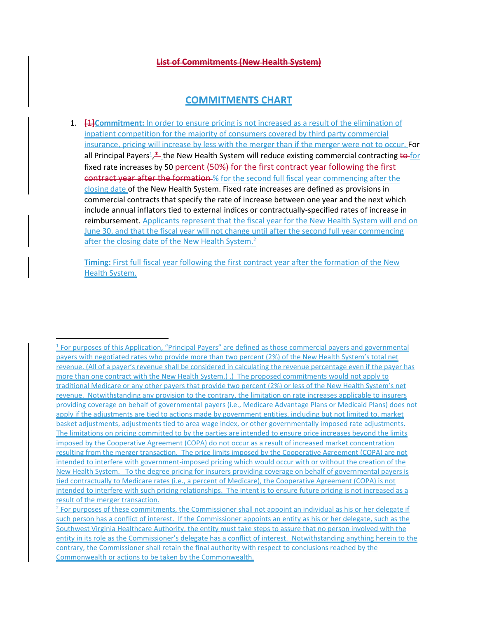## **List of Commitments (New Health System)**

# **COMMITMENTS CHART**

1. [1]**Commitment:** In order to ensure pricing is not increased as a result of the elimination of inpatient competition for the majority of consumers covered by third party commercial insurance, pricing will increase by less with the merger than if the merger were not to occur. For all Principal Payers<sup>1</sup>,<sup>\*</sup> the New Health System will reduce existing commercial contracting <del>to for</del> fixed rate increases by 50-percent (50%) for the first contract year following the first **contract year after the formation** % for the second full fiscal year commencing after the closing date of the New Health System. Fixed rate increases are defined as provisions in commercial contracts that specify the rate of increase between one year and the next which include annual inflators tied to external indices or contractually-specified rates of increase in reimbursement. Applicants represent that the fiscal year for the New Health System will end on June 30, and that the fiscal year will not change until after the second full year commencing after the closing date of the New Health System.<sup>2</sup>

**Timing:** First full fiscal year following the first contract year after the formation of the New Health System.

 $\overline{a}$ <sup>1</sup> For purposes of this Application, "Principal Payers" are defined as those commercial payers and governmental payers with negotiated rates who provide more than two percent (2%) of the New Health System's total net revenue. (All of a payer's revenue shall be considered in calculating the revenue percentage even if the payer has more than one contract with the New Health System.) .) The proposed commitments would not apply to traditional Medicare or any other payers that provide two percent (2%) or less of the New Health System's net revenue. Notwithstanding any provision to the contrary, the limitation on rate increases applicable to insurers providing coverage on behalf of governmental payers (i.e., Medicare Advantage Plans or Medicaid Plans) does not apply if the adjustments are tied to actions made by government entities, including but not limited to, market basket adjustments, adjustments tied to area wage index, or other governmentally imposed rate adjustments. The limitations on pricing committed to by the parties are intended to ensure price increases beyond the limits imposed by the Cooperative Agreement (COPA) do not occur as a result of increased market concentration resulting from the merger transaction. The price limits imposed by the Cooperative Agreement (COPA) are not intended to interfere with government-imposed pricing which would occur with or without the creation of the New Health System. To the degree pricing for insurers providing coverage on behalf of governmental payers is tied contractually to Medicare rates (i.e., a percent of Medicare), the Cooperative Agreement (COPA) is not intended to interfere with such pricing relationships. The intent is to ensure future pricing is not increased as a result of the merger transaction.

<sup>&</sup>lt;sup>2</sup> For purposes of these commitments, the Commissioner shall not appoint an individual as his or her delegate if such person has a conflict of interest. If the Commissioner appoints an entity as his or her delegate, such as the Southwest Virginia Healthcare Authority, the entity must take steps to assure that no person involved with the entity in its role as the Commissioner's delegate has a conflict of interest. Notwithstanding anything herein to the contrary, the Commissioner shall retain the final authority with respect to conclusions reached by the Commonwealth or actions to be taken by the Commonwealth.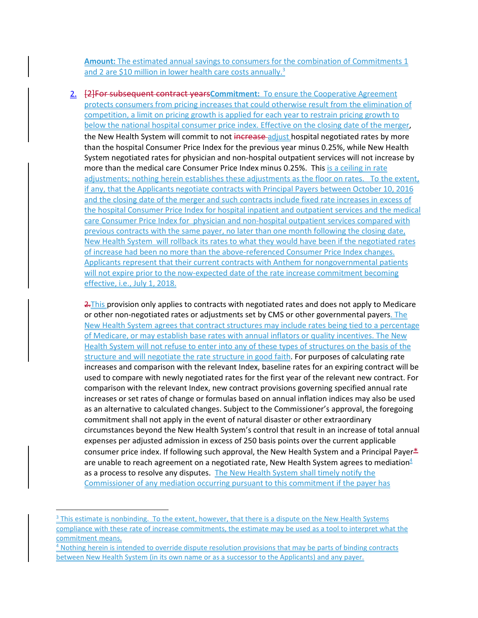**Amount:** The estimated annual savings to consumers for the combination of Commitments 1 and 2 are \$10 million in lower health care costs annually.<sup>3</sup>

2. [2]For subsequent contract years**Commitment:** To ensure the Cooperative Agreement protects consumers from pricing increases that could otherwise result from the elimination of competition, a limit on pricing growth is applied for each year to restrain pricing growth to below the national hospital consumer price index. Effective on the closing date of the merger, the New Health System will commit to not increase adjust hospital negotiated rates by more than the hospital Consumer Price Index for the previous year minus 0.25%, while New Health System negotiated rates for physician and non-hospital outpatient services will not increase by more than the medical care Consumer Price Index minus 0.25%. This is a ceiling in rate adjustments; nothing herein establishes these adjustments as the floor on rates. To the extent, if any, that the Applicants negotiate contracts with Principal Payers between October 10, 2016 and the closing date of the merger and such contracts include fixed rate increases in excess of the hospital Consumer Price Index for hospital inpatient and outpatient services and the medical care Consumer Price Index for physician and non-hospital outpatient services compared with previous contracts with the same payer, no later than one month following the closing date, New Health System will rollback its rates to what they would have been if the negotiated rates of increase had been no more than the above-referenced Consumer Price Index changes. Applicants represent that their current contracts with Anthem for nongovernmental patients will not expire prior to the now-expected date of the rate increase commitment becoming effective, i.e., July 1, 2018.

2. This provision only applies to contracts with negotiated rates and does not apply to Medicare or other non-negotiated rates or adjustments set by CMS or other governmental payers. The New Health System agrees that contract structures may include rates being tied to a percentage of Medicare, or may establish base rates with annual inflators or quality incentives. The New Health System will not refuse to enter into any of these types of structures on the basis of the structure and will negotiate the rate structure in good faith. For purposes of calculating rate increases and comparison with the relevant Index, baseline rates for an expiring contract will be used to compare with newly negotiated rates for the first year of the relevant new contract. For comparison with the relevant Index, new contract provisions governing specified annual rate increases or set rates of change or formulas based on annual inflation indices may also be used as an alternative to calculated changes. Subject to the Commissioner's approval, the foregoing commitment shall not apply in the event of natural disaster or other extraordinary circumstances beyond the New Health System's control that result in an increase of total annual expenses per adjusted admission in excess of 250 basis points over the current applicable consumer price index. If following such approval, the New Health System and a Principal Payer $*$ are unable to reach agreement on a negotiated rate, New Health System agrees to mediation $4/2$ as a process to resolve any disputes. The New Health System shall timely notify the Commissioner of any mediation occurring pursuant to this commitment if the payer has

 $\overline{a}$ 

<sup>&</sup>lt;sup>3</sup> This estimate is nonbinding. To the extent, however, that there is a dispute on the New Health Systems compliance with these rate of increase commitments, the estimate may be used as a tool to interpret what the commitment means.

<sup>&</sup>lt;sup>4</sup> Nothing herein is intended to override dispute resolution provisions that may be parts of binding contracts between New Health System (in its own name or as a successor to the Applicants) and any payer.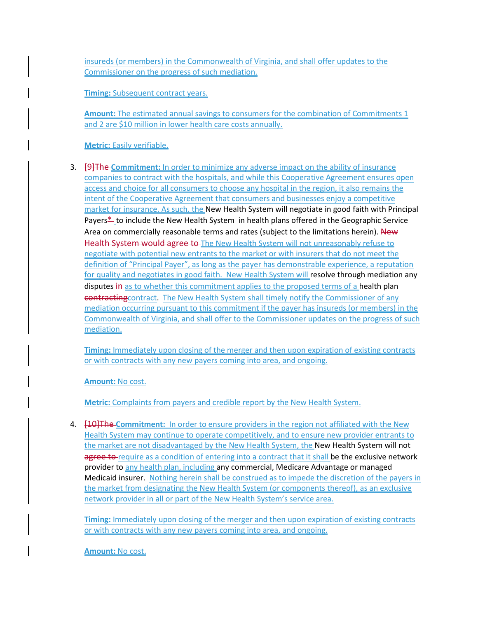insureds (or members) in the Commonwealth of Virginia, and shall offer updates to the Commissioner on the progress of such mediation.

**Timing:** Subsequent contract years.

**Amount:** The estimated annual savings to consumers for the combination of Commitments 1 and 2 are \$10 million in lower health care costs annually.

**Metric:** Easily verifiable.

3. [9]The **Commitment:** In order to minimize any adverse impact on the ability of insurance companies to contract with the hospitals, and while this Cooperative Agreement ensures open access and choice for all consumers to choose any hospital in the region, it also remains the intent of the Cooperative Agreement that consumers and businesses enjoy a competitive market for insurance. As such, the New Health System will negotiate in good faith with Principal Payers\* to include the New Health System in health plans offered in the Geographic Service Area on commercially reasonable terms and rates (subject to the limitations herein). New Health System would agree to The New Health System will not unreasonably refuse to negotiate with potential new entrants to the market or with insurers that do not meet the definition of "Principal Payer", as long as the payer has demonstrable experience, a reputation for quality and negotiates in good faith. New Health System will resolve through mediation any disputes in as to whether this commitment applies to the proposed terms of a health plan contractingcontract. The New Health System shall timely notify the Commissioner of any mediation occurring pursuant to this commitment if the payer has insureds (or members) in the Commonwealth of Virginia, and shall offer to the Commissioner updates on the progress of such mediation.

**Timing:** Immediately upon closing of the merger and then upon expiration of existing contracts or with contracts with any new payers coming into area, and ongoing.

**Amount:** No cost.

**Metric:** Complaints from payers and credible report by the New Health System.

4. [10]The **Commitment:** In order to ensure providers in the region not affiliated with the New Health System may continue to operate competitively, and to ensure new provider entrants to the market are not disadvantaged by the New Health System, the New Health System will not agree to require as a condition of entering into a contract that it shall be the exclusive network provider to any health plan, including any commercial, Medicare Advantage or managed Medicaid insurer. Nothing herein shall be construed as to impede the discretion of the payers in the market from designating the New Health System (or components thereof), as an exclusive network provider in all or part of the New Health System's service area.

**Timing:** Immediately upon closing of the merger and then upon expiration of existing contracts or with contracts with any new payers coming into area, and ongoing.

**Amount:** No cost.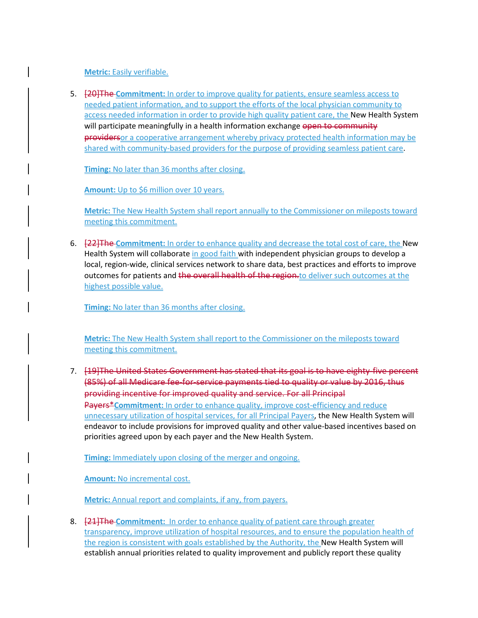## **Metric:** Easily verifiable.

5. [20]The **Commitment:** In order to improve quality for patients, ensure seamless access to needed patient information, and to support the efforts of the local physician community to access needed information in order to provide high quality patient care, the New Health System will participate meaningfully in a health information exchange open to community providersor a cooperative arrangement whereby privacy protected health information may be shared with community-based providers for the purpose of providing seamless patient care.

**Timing:** No later than 36 months after closing.

**Amount:** Up to \$6 million over 10 years.

**Metric:** The New Health System shall report annually to the Commissioner on mileposts toward meeting this commitment.

6. [22]The **Commitment:** In order to enhance quality and decrease the total cost of care, the New Health System will collaborate in good faith with independent physician groups to develop a local, region-wide, clinical services network to share data, best practices and efforts to improve outcomes for patients and the overall health of the region-to deliver such outcomes at the highest possible value.

**Timing:** No later than 36 months after closing.

**Metric:** The New Health System shall report to the Commissioner on the mileposts toward meeting this commitment.

7. [19]The United States Government has stated that its goal is to have eighty-five percent (85%) of all Medicare fee-for-service payments tied to quality or value by 2016, thus providing incentive for improved quality and service. For all Principal **Payers\*Commitment:** In order to enhance quality, improve cost-efficiency and reduce unnecessary utilization of hospital services, for all Principal Payers, the New Health System will endeavor to include provisions for improved quality and other value-based incentives based on priorities agreed upon by each payer and the New Health System.

**Timing:** Immediately upon closing of the merger and ongoing.

**Amount:** No incremental cost.

**Metric:** Annual report and complaints, if any, from payers.

8. [21]The **Commitment:** In order to enhance quality of patient care through greater transparency, improve utilization of hospital resources, and to ensure the population health of the region is consistent with goals established by the Authority, the New Health System will establish annual priorities related to quality improvement and publicly report these quality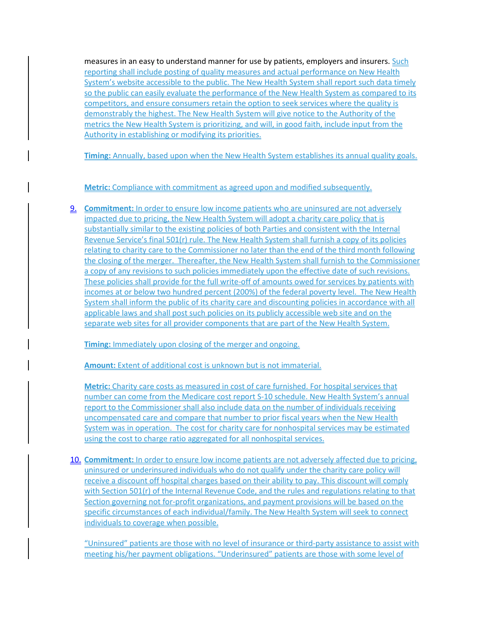measures in an easy to understand manner for use by patients, employers and insurers. Such reporting shall include posting of quality measures and actual performance on New Health System's website accessible to the public. The New Health System shall report such data timely so the public can easily evaluate the performance of the New Health System as compared to its competitors, and ensure consumers retain the option to seek services where the quality is demonstrably the highest. The New Health System will give notice to the Authority of the metrics the New Health System is prioritizing, and will, in good faith, include input from the Authority in establishing or modifying its priorities.

**Timing:** Annually, based upon when the New Health System establishes its annual quality goals.

## **Metric:** Compliance with commitment as agreed upon and modified subsequently.

9. **Commitment:** In order to ensure low income patients who are uninsured are not adversely impacted due to pricing, the New Health System will adopt a charity care policy that is substantially similar to the existing policies of both Parties and consistent with the Internal Revenue Service's final 501(r) rule. The New Health System shall furnish a copy of its policies relating to charity care to the Commissioner no later than the end of the third month following the closing of the merger. Thereafter, the New Health System shall furnish to the Commissioner a copy of any revisions to such policies immediately upon the effective date of such revisions. These policies shall provide for the full write-off of amounts owed for services by patients with incomes at or below two hundred percent (200%) of the federal poverty level. The New Health System shall inform the public of its charity care and discounting policies in accordance with all applicable laws and shall post such policies on its publicly accessible web site and on the separate web sites for all provider components that are part of the New Health System.

**Timing:** Immediately upon closing of the merger and ongoing.

**Amount:** Extent of additional cost is unknown but is not immaterial.

**Metric:** Charity care costs as measured in cost of care furnished. For hospital services that number can come from the Medicare cost report S-10 schedule. New Health System's annual report to the Commissioner shall also include data on the number of individuals receiving uncompensated care and compare that number to prior fiscal years when the New Health System was in operation. The cost for charity care for nonhospital services may be estimated using the cost to charge ratio aggregated for all nonhospital services.

10. **Commitment:** In order to ensure low income patients are not adversely affected due to pricing, uninsured or underinsured individuals who do not qualify under the charity care policy will receive a discount off hospital charges based on their ability to pay. This discount will comply with Section 501(r) of the Internal Revenue Code, and the rules and regulations relating to that Section governing not for-profit organizations, and payment provisions will be based on the specific circumstances of each individual/family. The New Health System will seek to connect individuals to coverage when possible.

"Uninsured" patients are those with no level of insurance or third-party assistance to assist with meeting his/her payment obligations. "Underinsured" patients are those with some level of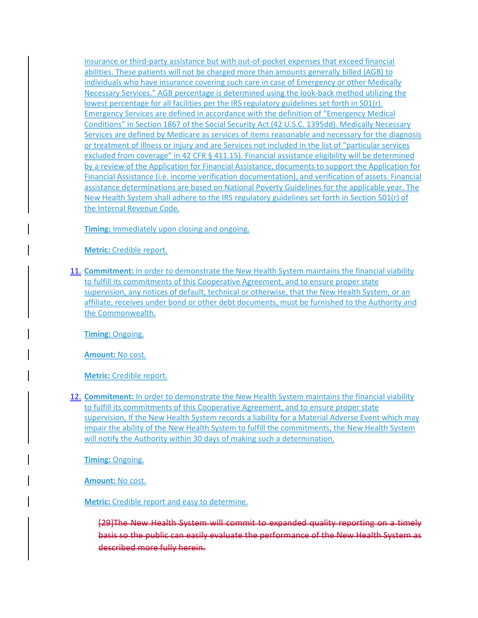insurance or third-party assistance but with out-of-pocket expenses that exceed financial abilities. These patients will not be charged more than amounts generally billed (AGB) to individuals who have insurance covering such care in case of Emergency or other Medically Necessary Services." AGB percentage is determined using the look-back method utilizing the lowest percentage for all facilities per the IRS regulatory guidelines set forth in 501(r). Emergency Services are defined in accordance with the definition of "Emergency Medical Conditions" in Section 1867 of the Social Security Act (42 U.S.C. 1395dd). Medically Necessary Services are defined by Medicare as services of items reasonable and necessary for the diagnosis or treatment of illness or injury and are Services not included in the list of "particular services excluded from coverage" in 42 CFR § 411.15). Financial assistance eligibility will be determined by a review of the Application for Financial Assistance, documents to support the Application for Financial Assistance (i.e. income verification documentation), and verification of assets. Financial assistance determinations are based on National Poverty Guidelines for the applicable year. The New Health System shall adhere to the IRS regulatory guidelines set forth in Section 501(r) of the Internal Revenue Code.

**Timing:** Immediately upon closing and ongoing.

**Metric:** Credible report.

11. **Commitment:** In order to demonstrate the New Health System maintains the financial viability to fulfill its commitments of this Cooperative Agreement, and to ensure proper state supervision, any notices of default, technical or otherwise, that the New Health System, or an affiliate, receives under bond or other debt documents, must be furnished to the Authority and the Commonwealth.

**Timing:** Ongoing.

**Amount:** No cost.

**Metric:** Credible report.

12. **Commitment:** In order to demonstrate the New Health System maintains the financial viability to fulfill its commitments of this Cooperative Agreement, and to ensure proper state supervision, If the New Health System records a liability for a Material Adverse Event which may impair the ability of the New Health System to fulfill the commitments, the New Health System will notify the Authority within 30 days of making such a determination.

**Timing:** Ongoing.

**Amount:** No cost.

**Metric:** Credible report and easy to determine.

[29]The New Health System will commit to expanded quality reporting basis so the public can easily evaluate the performance of the New Health described more fully herein.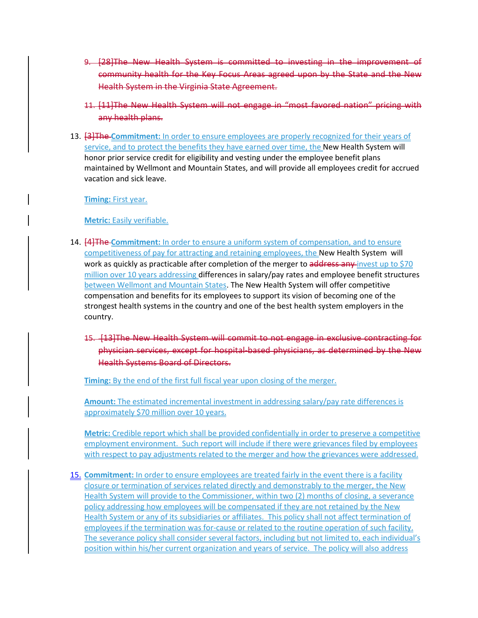- 9. **[28]The New Health System is committed to** community health for the Key Focus Areas agreed upon by the State Health System in the Virginia State Agreement.
- 11. [11]The New Health System will not engage in "most favored nation" pricing with any health plans.
- 13. [3]The **Commitment:** In order to ensure employees are properly recognized for their years of service, and to protect the benefits they have earned over time, the New Health System will honor prior service credit for eligibility and vesting under the employee benefit plans maintained by Wellmont and Mountain States, and will provide all employees credit for accrued vacation and sick leave.

**Timing:** First year.

**Metric:** Easily verifiable.

- 14. [4]The **Commitment:** In order to ensure a uniform system of compensation, and to ensure competitiveness of pay for attracting and retaining employees, the New Health System will work as quickly as practicable after completion of the merger to address any invest up to \$70 million over 10 years addressing differences in salary/pay rates and employee benefit structures between Wellmont and Mountain States. The New Health System will offer competitive compensation and benefits for its employees to support its vision of becoming one of the strongest health systems in the country and one of the best health system employers in the country.
	- 15. [13] The New Health System will commit to not engage in exclus physician services, except for hospital-based physicians, as determined by Health Systems Board of Directors.

**Timing:** By the end of the first full fiscal year upon closing of the merger.

**Amount:** The estimated incremental investment in addressing salary/pay rate differences is approximately \$70 million over 10 years.

**Metric:** Credible report which shall be provided confidentially in order to preserve a competitive employment environment. Such report will include if there were grievances filed by employees with respect to pay adjustments related to the merger and how the grievances were addressed.

15. **Commitment:** In order to ensure employees are treated fairly in the event there is a facility closure or termination of services related directly and demonstrably to the merger, the New Health System will provide to the Commissioner, within two (2) months of closing, a severance policy addressing how employees will be compensated if they are not retained by the New Health System or any of its subsidiaries or affiliates. This policy shall not affect termination of employees if the termination was for-cause or related to the routine operation of such facility. The severance policy shall consider several factors, including but not limited to, each individual's position within his/her current organization and years of service. The policy will also address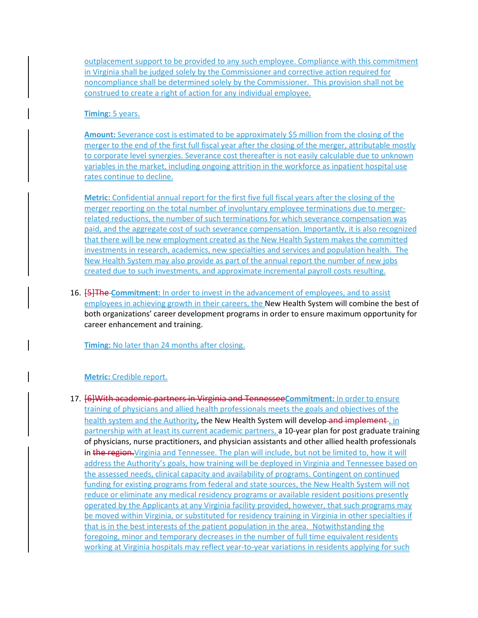outplacement support to be provided to any such employee. Compliance with this commitment in Virginia shall be judged solely by the Commissioner and corrective action required for noncompliance shall be determined solely by the Commissioner. This provision shall not be construed to create a right of action for any individual employee.

## **Timing:** 5 years.

**Amount:** Severance cost is estimated to be approximately \$5 million from the closing of the merger to the end of the first full fiscal year after the closing of the merger, attributable mostly to corporate level synergies. Severance cost thereafter is not easily calculable due to unknown variables in the market, including ongoing attrition in the workforce as inpatient hospital use rates continue to decline.

**Metric:** Confidential annual report for the first five full fiscal years after the closing of the merger reporting on the total number of involuntary employee terminations due to mergerrelated reductions, the number of such terminations for which severance compensation was paid, and the aggregate cost of such severance compensation. Importantly, it is also recognized that there will be new employment created as the New Health System makes the committed investments in research, academics, new specialties and services and population health. The New Health System may also provide as part of the annual report the number of new jobs created due to such investments, and approximate incremental payroll costs resulting.

16. [5]The **Commitment:** In order to invest in the advancement of employees, and to assist employees in achieving growth in their careers, the New Health System will combine the best of both organizations' career development programs in order to ensure maximum opportunity for career enhancement and training.

**Timing:** No later than 24 months after closing.

#### **Metric:** Credible report.

17. [6]With academic partners in Virginia and Tennessee**Commitment:** In order to ensure training of physicians and allied health professionals meets the goals and objectives of the health system and the Authority, the New Health System will develop-and implement, in partnership with at least its current academic partners, a 10-year plan for post graduate training of physicians, nurse practitioners, and physician assistants and other allied health professionals in the region. Virginia and Tennessee. The plan will include, but not be limited to, how it will address the Authority's goals, how training will be deployed in Virginia and Tennessee based on the assessed needs, clinical capacity and availability of programs. Contingent on continued funding for existing programs from federal and state sources, the New Health System will not reduce or eliminate any medical residency programs or available resident positions presently operated by the Applicants at any Virginia facility provided, however, that such programs may be moved within Virginia, or substituted for residency training in Virginia in other specialties if that is in the best interests of the patient population in the area. Notwithstanding the foregoing, minor and temporary decreases in the number of full time equivalent residents working at Virginia hospitals may reflect year-to-year variations in residents applying for such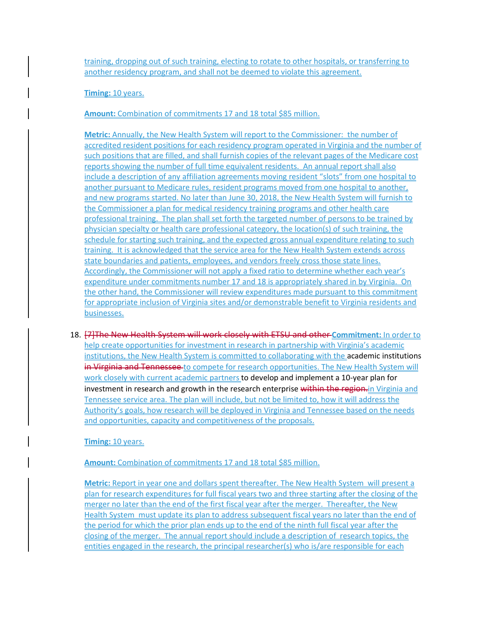training, dropping out of such training, electing to rotate to other hospitals, or transferring to another residency program, and shall not be deemed to violate this agreement.

#### **Timing:** 10 years.

**Amount:** Combination of commitments 17 and 18 total \$85 million.

**Metric:** Annually, the New Health System will report to the Commissioner: the number of accredited resident positions for each residency program operated in Virginia and the number of such positions that are filled, and shall furnish copies of the relevant pages of the Medicare cost reports showing the number of full time equivalent residents. An annual report shall also include a description of any affiliation agreements moving resident "slots" from one hospital to another pursuant to Medicare rules, resident programs moved from one hospital to another, and new programs started. No later than June 30, 2018, the New Health System will furnish to the Commissioner a plan for medical residency training programs and other health care professional training. The plan shall set forth the targeted number of persons to be trained by physician specialty or health care professional category, the location(s) of such training, the schedule for starting such training, and the expected gross annual expenditure relating to such training. It is acknowledged that the service area for the New Health System extends across state boundaries and patients, employees, and vendors freely cross those state lines. Accordingly, the Commissioner will not apply a fixed ratio to determine whether each year's expenditure under commitments number 17 and 18 is appropriately shared in by Virginia. On the other hand, the Commissioner will review expenditures made pursuant to this commitment for appropriate inclusion of Virginia sites and/or demonstrable benefit to Virginia residents and businesses.

18. [7]The New Health System will work closely with ETSU and other **Commitment:** In order to help create opportunities for investment in research in partnership with Virginia's academic institutions, the New Health System is committed to collaborating with the academic institutions in Virginia and Tennessee to compete for research opportunities. The New Health System will work closely with current academic partners to develop and implement a 10-year plan for investment in research and growth in the research enterprise within the region-in Virginia and Tennessee service area. The plan will include, but not be limited to, how it will address the Authority's goals, how research will be deployed in Virginia and Tennessee based on the needs and opportunities, capacity and competitiveness of the proposals.

**Timing:** 10 years.

**Amount:** Combination of commitments 17 and 18 total \$85 million.

**Metric:** Report in year one and dollars spent thereafter. The New Health System will present a plan for research expenditures for full fiscal years two and three starting after the closing of the merger no later than the end of the first fiscal year after the merger. Thereafter, the New Health System must update its plan to address subsequent fiscal years no later than the end of the period for which the prior plan ends up to the end of the ninth full fiscal year after the closing of the merger. The annual report should include a description of research topics, the entities engaged in the research, the principal researcher(s) who is/are responsible for each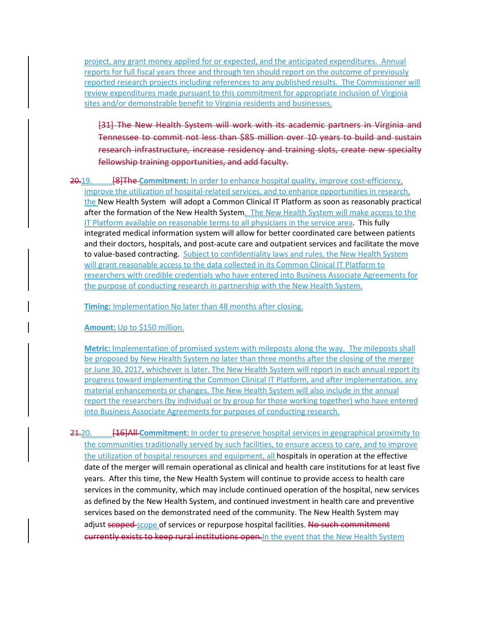project, any grant money applied for or expected, and the anticipated expenditures. Annual reports for full fiscal years three and through ten should report on the outcome of previously reported research projects including references to any published results. The Commissioner will review expenditures made pursuant to this commitment for appropriate inclusion of Virginia sites and/or demonstrable benefit to Virginia residents and businesses.

[31] The New Health System will work with its academic partners in Virginia and Tennessee to commit not less than \$85 million over 10 years to build and sust research infrastructure, increase residency and training slots, create fellowship training opportunities, and add faculty.

20.19. [8]The **Commitment:** In order to enhance hospital quality, improve cost-efficiency, improve the utilization of hospital-related services, and to enhance opportunities in research, the New Health System will adopt a Common Clinical IT Platform as soon as reasonably practical after the formation of the New Health System. The New Health System will make access to the IT Platform available on reasonable terms to all physicians in the service area. This fully integrated medical information system will allow for better coordinated care between patients and their doctors, hospitals, and post-acute care and outpatient services and facilitate the move to value-based contracting. Subject to confidentiality laws and rules, the New Health System will grant reasonable access to the data collected in its Common Clinical IT Platform to researchers with credible credentials who have entered into Business Associate Agreements for the purpose of conducting research in partnership with the New Health System.

**Timing:** Implementation No later than 48 months after closing.

**Amount:** Up to \$150 million.

**Metric:** Implementation of promised system with mileposts along the way. The mileposts shall be proposed by New Health System no later than three months after the closing of the merger or June 30, 2017, whichever is later. The New Health System will report in each annual report its progress toward implementing the Common Clinical IT Platform, and after implementation, any material enhancements or changes. The New Health System will also include in the annual report the researchers (by individual or by group for those working together) who have entered into Business Associate Agreements for purposes of conducting research.

21.20. **[16]All-Commitment:** In order to preserve hospital services in geographical proximity to the communities traditionally served by such facilities, to ensure access to care, and to improve the utilization of hospital resources and equipment, all hospitals in operation at the effective date of the merger will remain operational as clinical and health care institutions for at least five years. After this time, the New Health System will continue to provide access to health care services in the community, which may include continued operation of the hospital, new services as defined by the New Health System, and continued investment in health care and preventive services based on the demonstrated need of the community. The New Health System may adjust scoped-scope of services or repurpose hospital facilities. No such commitment currently exists to keep rural institutions open. In the event that the New Health System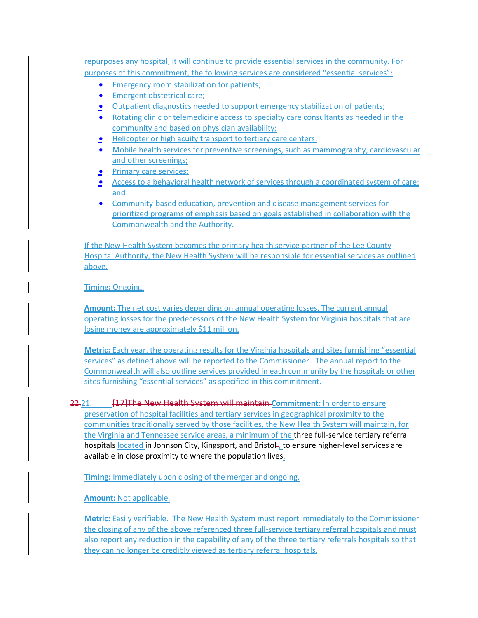repurposes any hospital, it will continue to provide essential services in the community. For purposes of this commitment, the following services are considered "essential services":

- **Emergency room stabilization for patients;**
- **•** Emergent obstetrical care;
- **Outpatient diagnostics needed to support emergency stabilization of patients;**
- **Rotating clinic or telemedicine access to specialty care consultants as needed in the** community and based on physician availability;
- **Helicopter or high acuity transport to tertiary care centers;**
- Mobile health services for preventive screenings, such as mammography, cardiovascular and other screenings;
- **Primary care services;**
- Access to a behavioral health network of services through a coordinated system of care; and
- **Community-based education, prevention and disease management services for** prioritized programs of emphasis based on goals established in collaboration with the Commonwealth and the Authority.

If the New Health System becomes the primary health service partner of the Lee County Hospital Authority, the New Health System will be responsible for essential services as outlined above.

**Timing:** Ongoing.

**Amount:** The net cost varies depending on annual operating losses. The current annual operating losses for the predecessors of the New Health System for Virginia hospitals that are losing money are approximately \$11 million.

**Metric:** Each year, the operating results for the Virginia hospitals and sites furnishing "essential services" as defined above will be reported to the Commissioner. The annual report to the Commonwealth will also outline services provided in each community by the hospitals or other sites furnishing "essential services" as specified in this commitment.

22.21. [17]The New Health System will maintain **Commitment:** In order to ensure preservation of hospital facilities and tertiary services in geographical proximity to the communities traditionally served by those facilities, the New Health System will maintain, for the Virginia and Tennessee service areas, a minimum of the three full-service tertiary referral hospitals located in Johnson City, Kingsport, and Bristol- to ensure higher-level services are available in close proximity to where the population lives.

**Timing:** Immediately upon closing of the merger and ongoing.

**Amount:** Not applicable.

**Metric:** Easily verifiable. The New Health System must report immediately to the Commissioner the closing of any of the above referenced three full-service tertiary referral hospitals and must also report any reduction in the capability of any of the three tertiary referrals hospitals so that they can no longer be credibly viewed as tertiary referral hospitals.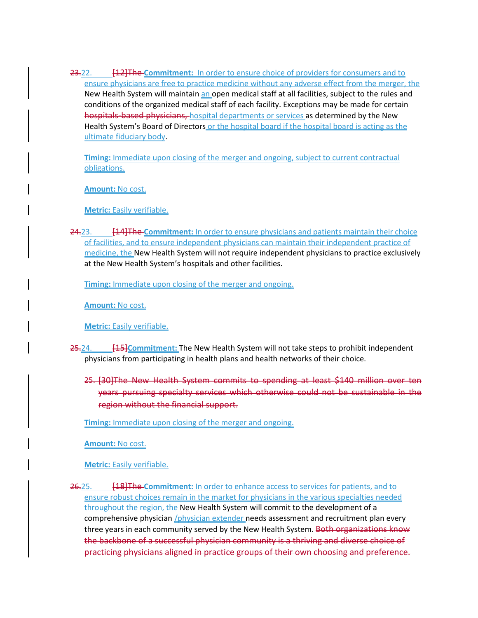23.22. [12]The **Commitment:** In order to ensure choice of providers for consumers and to ensure physicians are free to practice medicine without any adverse effect from the merger, the New Health System will maintain an open medical staff at all facilities, subject to the rules and conditions of the organized medical staff of each facility. Exceptions may be made for certain hospitals-based physicians, hospital departments or services as determined by the New Health System's Board of Directors or the hospital board if the hospital board is acting as the ultimate fiduciary body.

**Timing:** Immediate upon closing of the merger and ongoing, subject to current contractual obligations.

**Amount:** No cost.

**Metric:** Easily verifiable.

24.23. [14]The **Commitment:** In order to ensure physicians and patients maintain their choice of facilities, and to ensure independent physicians can maintain their independent practice of medicine, the New Health System will not require independent physicians to practice exclusively at the New Health System's hospitals and other facilities.

**Timing:** Immediate upon closing of the merger and ongoing.

**Amount:** No cost.

**Metric:** Easily verifiable.

- 25.24. [15]**Commitment:** The New Health System will not take steps to prohibit independent physicians from participating in health plans and health networks of their choice.
	- 25. [30]The New Health System commits to spending at least \$140 million over ten years pursuing specialty services which otherwise could not be sustainable in the region without the financial support.

**Timing:** Immediate upon closing of the merger and ongoing.

**Amount:** No cost.

**Metric:** Easily verifiable.

26.25. [18]The **Commitment:** In order to enhance access to services for patients, and to ensure robust choices remain in the market for physicians in the various specialties needed throughout the region, the New Health System will commit to the development of a comprehensive physician-/physician extender needs assessment and recruitment plan every three years in each community served by the New Health System. Both organizations know the backbone of a successful physician community is a thriving and diverse choice of practicing physicians aligned in practice groups of their own choosing and preference.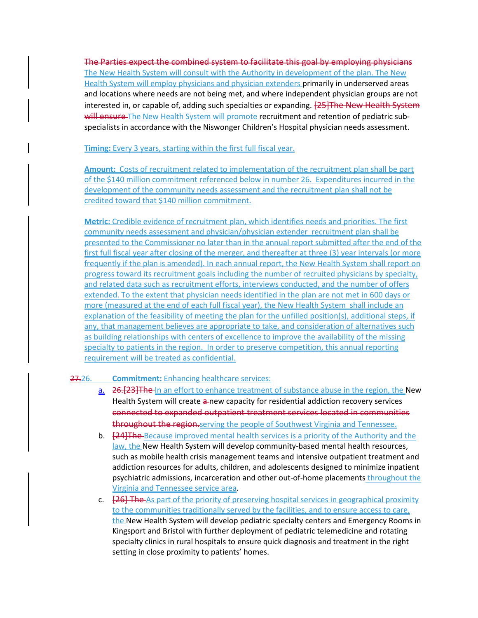The Parties expect the combined system to facilitate this goal by employing physicians The New Health System will consult with the Authority in development of the plan. The New Health System will employ physicians and physician extenders primarily in underserved areas and locations where needs are not being met, and where independent physician groups are not interested in, or capable of, adding such specialties or expanding. [25] The New Health System will ensure The New Health System will promote recruitment and retention of pediatric subspecialists in accordance with the Niswonger Children's Hospital physician needs assessment.

#### **Timing:** Every 3 years, starting within the first full fiscal year.

**Amount:** Costs of recruitment related to implementation of the recruitment plan shall be part of the \$140 million commitment referenced below in number 26. Expenditures incurred in the development of the community needs assessment and the recruitment plan shall not be credited toward that \$140 million commitment.

**Metric:** Credible evidence of recruitment plan, which identifies needs and priorities. The first community needs assessment and physician/physician extender recruitment plan shall be presented to the Commissioner no later than in the annual report submitted after the end of the first full fiscal year after closing of the merger, and thereafter at three (3) year intervals (or more frequently if the plan is amended). In each annual report, the New Health System shall report on progress toward its recruitment goals including the number of recruited physicians by specialty, and related data such as recruitment efforts, interviews conducted, and the number of offers extended. To the extent that physician needs identified in the plan are not met in 600 days or more (measured at the end of each full fiscal year), the New Health System shall include an explanation of the feasibility of meeting the plan for the unfilled position(s), additional steps, if any, that management believes are appropriate to take, and consideration of alternatives such as building relationships with centers of excellence to improve the availability of the missing specialty to patients in the region. In order to preserve competition, this annual reporting requirement will be treated as confidential.

## 27.26. **Commitment:** Enhancing healthcare services:

- a. 26.[23]The In an effort to enhance treatment of substance abuse in the region, the New Health System will create a new capacity for residential addiction recovery services connected to expanded outpatient treatment services located in communities throughout the region-serving the people of Southwest Virginia and Tennessee.
- b. **[24] The** Because improved mental health services is a priority of the Authority and the law, the New Health System will develop community-based mental health resources, such as mobile health crisis management teams and intensive outpatient treatment and addiction resources for adults, children, and adolescents designed to minimize inpatient psychiatric admissions, incarceration and other out-of-home placements throughout the Virginia and Tennessee service area.
- c. **[26] The** As part of the priority of preserving hospital services in geographical proximity to the communities traditionally served by the facilities, and to ensure access to care, the New Health System will develop pediatric specialty centers and Emergency Rooms in Kingsport and Bristol with further deployment of pediatric telemedicine and rotating specialty clinics in rural hospitals to ensure quick diagnosis and treatment in the right setting in close proximity to patients' homes.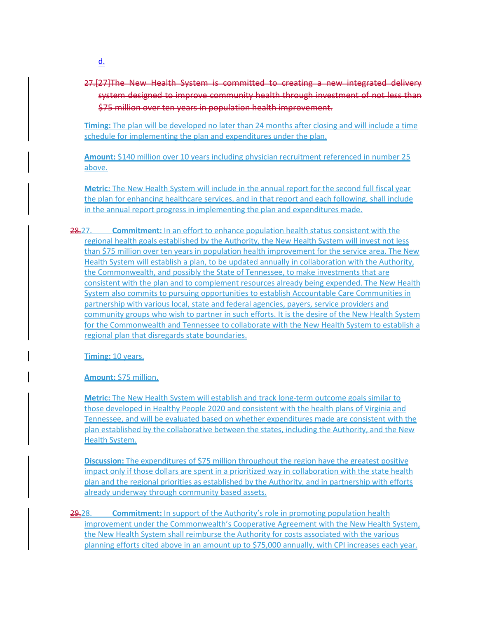27.<sup>[27]</sup>The New Health System is committed to creating a new integrated system designed to improve community health through investment of not \$75 million over ten years in population health improvement.

**Timing:** The plan will be developed no later than 24 months after closing and will include a time schedule for implementing the plan and expenditures under the plan.

**Amount:** \$140 million over 10 years including physician recruitment referenced in number 25 above.

**Metric:** The New Health System will include in the annual report for the second full fiscal year the plan for enhancing healthcare services, and in that report and each following, shall include in the annual report progress in implementing the plan and expenditures made.

28.27. **Commitment:** In an effort to enhance population health status consistent with the regional health goals established by the Authority, the New Health System will invest not less than \$75 million over ten years in population health improvement for the service area. The New Health System will establish a plan, to be updated annually in collaboration with the Authority, the Commonwealth, and possibly the State of Tennessee, to make investments that are consistent with the plan and to complement resources already being expended. The New Health System also commits to pursuing opportunities to establish Accountable Care Communities in partnership with various local, state and federal agencies, payers, service providers and community groups who wish to partner in such efforts. It is the desire of the New Health System for the Commonwealth and Tennessee to collaborate with the New Health System to establish a regional plan that disregards state boundaries.

**Timing:** 10 years.

**Amount:** \$75 million.

**Metric:** The New Health System will establish and track long-term outcome goals similar to those developed in Healthy People 2020 and consistent with the health plans of Virginia and Tennessee, and will be evaluated based on whether expenditures made are consistent with the plan established by the collaborative between the states, including the Authority, and the New Health System.

**Discussion:** The expenditures of \$75 million throughout the region have the greatest positive impact only if those dollars are spent in a prioritized way in collaboration with the state health plan and the regional priorities as established by the Authority, and in partnership with efforts already underway through community based assets.

29.28. **Commitment:** In support of the Authority's role in promoting population health improvement under the Commonwealth's Cooperative Agreement with the New Health System, the New Health System shall reimburse the Authority for costs associated with the various planning efforts cited above in an amount up to \$75,000 annually, with CPI increases each year.

 $\underline{\underline{d}}$ .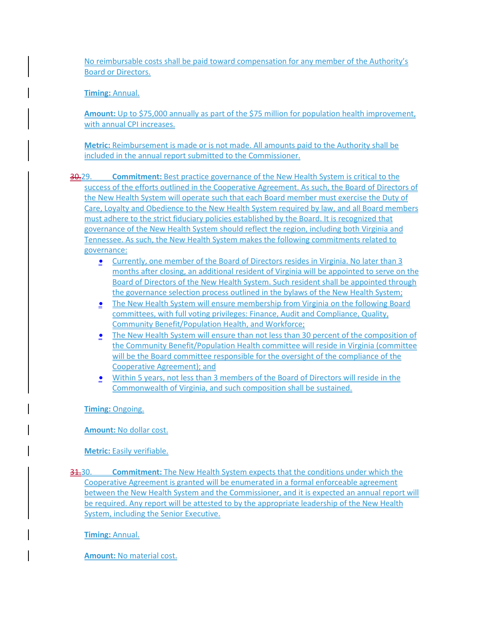No reimbursable costs shall be paid toward compensation for any member of the Authority's Board or Directors.

**Timing:** Annual.

**Amount:** Up to \$75,000 annually as part of the \$75 million for population health improvement, with annual CPI increases.

**Metric:** Reimbursement is made or is not made. All amounts paid to the Authority shall be included in the annual report submitted to the Commissioner.

30.29. **Commitment:** Best practice governance of the New Health System is critical to the success of the efforts outlined in the Cooperative Agreement. As such, the Board of Directors of the New Health System will operate such that each Board member must exercise the Duty of Care, Loyalty and Obedience to the New Health System required by law, and all Board members must adhere to the strict fiduciary policies established by the Board. It is recognized that governance of the New Health System should reflect the region, including both Virginia and Tennessee. As such, the New Health System makes the following commitments related to governance:

- **Currently, one member of the Board of Directors resides in Virginia. No later than 3** months after closing, an additional resident of Virginia will be appointed to serve on the Board of Directors of the New Health System. Such resident shall be appointed through the governance selection process outlined in the bylaws of the New Health System;
- The New Health System will ensure membership from Virginia on the following Board committees, with full voting privileges: Finance, Audit and Compliance, Quality, Community Benefit/Population Health, and Workforce;
- **The New Health System will ensure than not less than 30 percent of the composition of** the Community Benefit/Population Health committee will reside in Virginia (committee will be the Board committee responsible for the oversight of the compliance of the Cooperative Agreement); and
- Within 5 years, not less than 3 members of the Board of Directors will reside in the Commonwealth of Virginia, and such composition shall be sustained.

**Timing:** Ongoing.

**Amount:** No dollar cost.

**Metric:** Easily verifiable.

31.30. **Commitment:** The New Health System expects that the conditions under which the Cooperative Agreement is granted will be enumerated in a formal enforceable agreement between the New Health System and the Commissioner, and it is expected an annual report will be required. Any report will be attested to by the appropriate leadership of the New Health System, including the Senior Executive.

**Timing:** Annual.

**Amount:** No material cost.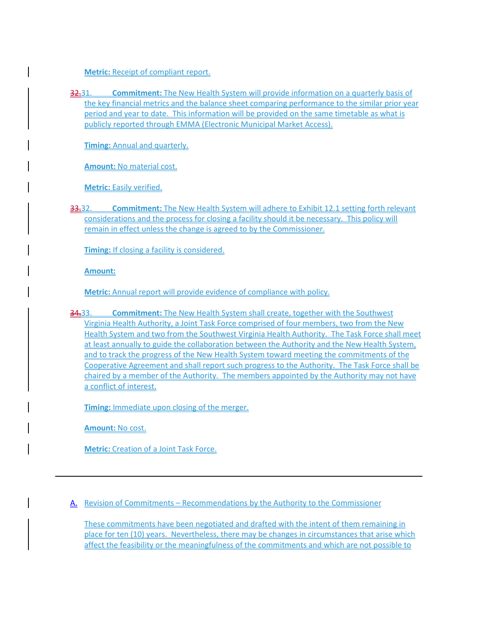**Metric:** Receipt of compliant report.

32.31. **Commitment:** The New Health System will provide information on a quarterly basis of the key financial metrics and the balance sheet comparing performance to the similar prior year period and year to date. This information will be provided on the same timetable as what is publicly reported through EMMA (Electronic Municipal Market Access).

**Timing:** Annual and quarterly.

**Amount:** No material cost.

**Metric:** Easily verified.

33.32. **Commitment:** The New Health System will adhere to Exhibit 12.1 setting forth relevant considerations and the process for closing a facility should it be necessary. This policy will remain in effect unless the change is agreed to by the Commissioner.

**Timing:** If closing a facility is considered.

**Amount:** 

**Metric:** Annual report will provide evidence of compliance with policy.

34.33. **Commitment:** The New Health System shall create, together with the Southwest Virginia Health Authority, a Joint Task Force comprised of four members, two from the New Health System and two from the Southwest Virginia Health Authority. The Task Force shall meet at least annually to guide the collaboration between the Authority and the New Health System, and to track the progress of the New Health System toward meeting the commitments of the Cooperative Agreement and shall report such progress to the Authority. The Task Force shall be chaired by a member of the Authority. The members appointed by the Authority may not have a conflict of interest.

**Timing:** Immediate upon closing of the merger.

**Amount:** No cost.

**Metric:** Creation of a Joint Task Force.

A. Revision of Commitments – Recommendations by the Authority to the Commissioner

These commitments have been negotiated and drafted with the intent of them remaining in place for ten (10) years. Nevertheless, there may be changes in circumstances that arise which affect the feasibility or the meaningfulness of the commitments and which are not possible to